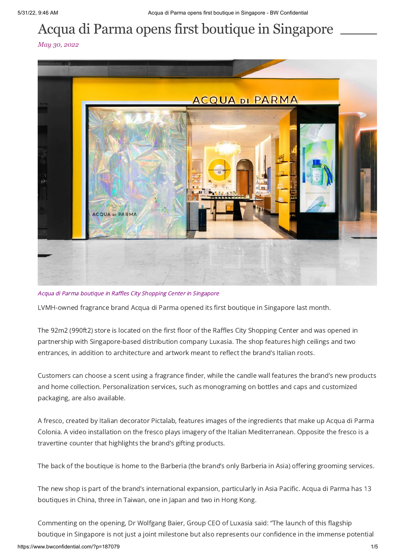## Acqua di Parma opens first boutique in Singapore

*May 30, 2022*



Acqua di Parma boutique in Raffles City Shopping Center in Singapore

LVMH-owned fragrance brand Acqua di Parma opened its first boutique in Singapore last month.

The 92m2 (990ft2) store is located on the first floor of the Raffles City Shopping Center and was opened in partnership with Singapore-based distribution company Luxasia. The shop features high ceilings and two entrances, in addition to architecture and artwork meant to reflect the brand's Italian roots.

Customers can choose a scent using a fragrance finder, while the candle wall features the brand's new products and home collection. Personalization services, such as monograming on bottles and caps and customized packaging, are also available.

A fresco, created by Italian decorator Pictalab, features images of the ingredients that make up Acqua di Parma Colonia. A video installation on the fresco plays imagery of the Italian Mediterranean. Opposite the fresco is a travertine counter that highlights the brand's gifting products.

The back of the boutique is home to the Barberia (the brand's only Barberia in Asia) offering grooming services.

The new shop is part of the brand's international expansion, particularly in Asia Pacific. Acqua di Parma has 13 boutiques in China, three in Taiwan, one in Japan and two in Hong Kong.

Commenting on the opening, Dr Wolfgang Baier, Group CEO of Luxasia said: "The launch of this flagship boutique in Singapore is not just a joint milestone but also represents our confidence in the immense potential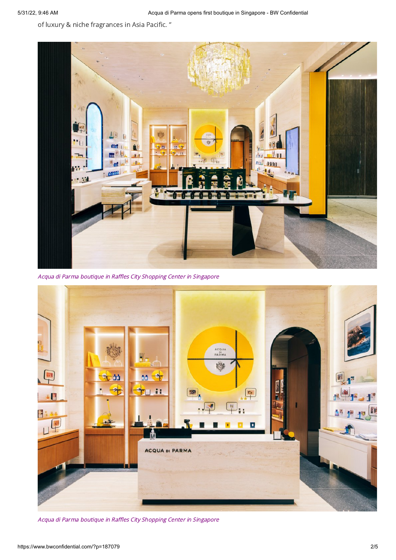of luxury & niche fragrances in Asia Pacific. "



Acqua di Parma boutique in Raffles City Shopping Center in Singapore



Acqua di Parma boutique in Raffles City Shopping Center in Singapore